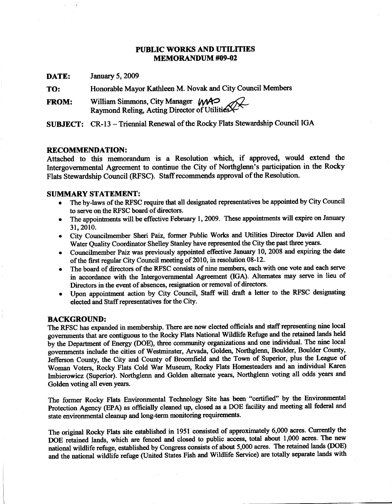### **PUBLIC WORKS AND UTILITIES MEMORANDUM #09-02**

DATE: **January 5, 2009** 

Honorable Mayor Kathleen M. Novak and City Council Members TO:

William Simmons, City Manager WAO<br>Raymond Reling, Acting Director of Utilities **FROM:** 

SUBJECT: CR-13 - Triennial Renewal of the Rocky Flats Stewardship Council IGA

#### **RECOMMENDATION:**

Attached to this memorandum is a Resolution which, if approved, would extend the Intergovernmental Agreement to continue the City of Northglenn's participation in the Rocky Flats Stewardship Council (RFSC). Staff recommends approval of the Resolution.

### **SUMMARY STATEMENT:**

- The by-laws of the RFSC require that all designated representatives be appointed by City Council to serve on the RFSC board of directors.
- The appointments will be effective February 1, 2009. These appointments will expire on January 31, 2010.
- City Councilmember Sheri Paiz, former Public Works and Utilities Director David Allen and  $\bullet$ Water Quality Coordinator Shelley Stanley have represented the City the past three years.
- Councilmember Paiz was previously appointed effective January 10, 2008 and expiring the date of the first regular City Council meeting of 2010, in resolution 08-12.
- The board of directors of the RFSC consists of nine members, each with one vote and each serve in accordance with the Intergovernmental Agreement (IGA). Alternates may serve in lieu of Directors in the event of absences, resignation or removal of directors.
- Upon appointment action by City Council, Staff will draft a letter to the RFSC designating  $\bullet$ elected and Staff representatives for the City.

#### **BACKGROUND:**

The RFSC has expanded in membership. There are now elected officials and staff representing nine local governments that are contiguous to the Rocky Flats National Wildlife Refuge and the retained lands held by the Department of Energy (DOE), three community organizations and one individual. The nine local governments include the cities of Westminster, Arvada, Golden, Northglenn, Boulder, Boulder County, Jefferson County, the City and County of Broomfield and the Town of Superior, plus the League of Woman Voters, Rocky Flats Cold War Museum, Rocky Flats Homesteaders and an individual Karen Imbierowicz (Superior). Northglenn and Golden alternate years, Northglenn voting all odds years and Golden voting all even years.

The former Rocky Flats Environmental Technology Site has been "certified" by the Environmental Protection Agency (EPA) as officially cleaned up, closed as a DOE facility and meeting all federal and state environmental cleanup and long-term monitoring requirements.

The original Rocky Flats site established in 1951 consisted of approximately 6,000 acres. Currently the DOE retained lands, which are fenced and closed to public access, total about 1,000 acres. The new national wildlife refuge, established by Congress consists of about 5,000 acres. The retained lands (DOE) and the national wildlife refuge (United States Fish and Wildlife Service) are totally separate lands with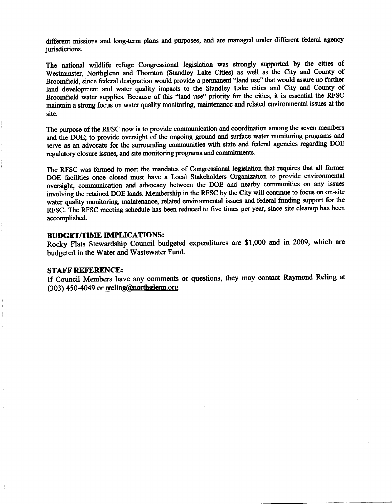different missions and long-term plans and purposes, and are managed under different federal agency jurisdictions.

The national wildlife refuge Congressional legislation was strongly supported by the cities of Westminster, Northglenn and Thornton (Standley Lake Cities) as well as the City and County of Broomfield, since federal designation would provide a permanent "land use" that would assure no further land development and water quality impacts to the Standley Lake cities and City and County of Broomfield water supplies. Because of this "land use" priority for the cities, it is essential the RFSC maintain a strong focus on water quality monitoring, maintenance and related environmental issues at the site.

The purpose of the RFSC now is to provide communication and coordination among the seven members and the DOE; to provide oversight of the ongoing ground and surface water monitoring programs and serve as an advocate for the surrounding communities with state and federal agencies regarding DOE regulatory closure issues, and site monitoring programs and commitments.

The RFSC was formed to meet the mandates of Congressional legislation that requires that all former DOE facilities once closed must have a Local Stakeholders Organization to provide environmental oversight, communication and advocacy between the DOE and nearby communities on any issues involving the retained DOE lands. Membership in the RFSC by the City will continue to focus on on-site water quality monitoring, maintenance, related environmental issues and federal funding support for the RFSC. The RFSC meeting schedule has been reduced to five times per year, since site cleanup has been accomplished.

#### **BUDGET/TIME IMPLICATIONS:**

Rocky Flats Stewardship Council budgeted expenditures are \$1,000 and in 2009, which are budgeted in the Water and Wastewater Fund.

#### **STAFF REFERENCE:**

If Council Members have any comments or questions, they may contact Raymond Reling at (303) 450-4049 or rreling@northglenn.org.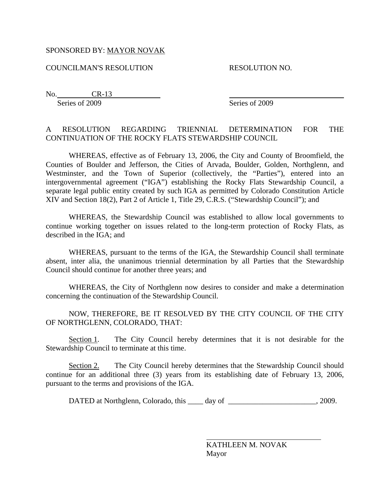### SPONSORED BY: MAYOR NOVAK

COUNCILMAN'S RESOLUTION RESOLUTION NO.

No. CR-13 Series of 2009 Series of 2009

# A RESOLUTION REGARDING TRIENNIAL DETERMINATION FOR THE CONTINUATION OF THE ROCKY FLATS STEWARDSHIP COUNCIL

 WHEREAS, effective as of February 13, 2006, the City and County of Broomfield, the Counties of Boulder and Jefferson, the Cities of Arvada, Boulder, Golden, Northglenn, and Westminster, and the Town of Superior (collectively, the "Parties"), entered into an intergovernmental agreement ("IGA") establishing the Rocky Flats Stewardship Council, a separate legal public entity created by such IGA as permitted by Colorado Constitution Article XIV and Section 18(2), Part 2 of Article 1, Title 29, C.R.S. ("Stewardship Council"); and

 WHEREAS, the Stewardship Council was established to allow local governments to continue working together on issues related to the long-term protection of Rocky Flats, as described in the IGA; and

 WHEREAS, pursuant to the terms of the IGA, the Stewardship Council shall terminate absent, inter alia, the unanimous triennial determination by all Parties that the Stewardship Council should continue for another three years; and

 WHEREAS, the City of Northglenn now desires to consider and make a determination concerning the continuation of the Stewardship Council.

 NOW, THEREFORE, BE IT RESOLVED BY THE CITY COUNCIL OF THE CITY OF NORTHGLENN, COLORADO, THAT:

Section 1. The City Council hereby determines that it is not desirable for the Stewardship Council to terminate at this time.

Section 2. The City Council hereby determines that the Stewardship Council should continue for an additional three (3) years from its establishing date of February 13, 2006, pursuant to the terms and provisions of the IGA.

DATED at Northglenn, Colorado, this day of the state of the state of the state of the state of the state of the state of the state of the state of the state of the state of the state of the state of the state of the state

l

KATHLEEN M. NOVAK Mayor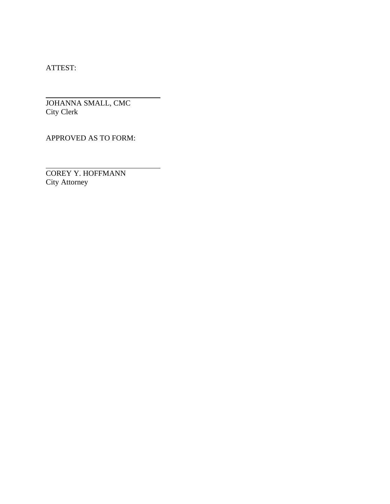ATTEST:

l

 $\overline{a}$ 

JOHANNA SMALL, CMC City Clerk

APPROVED AS TO FORM:

COREY Y. HOFFMANN City Attorney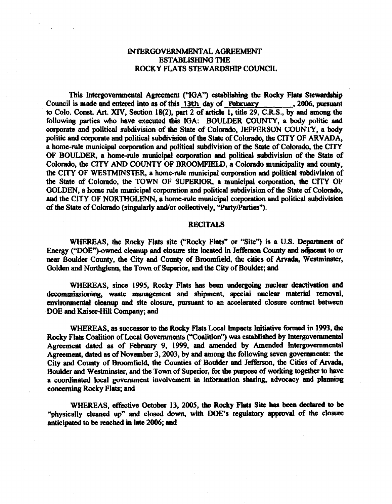### INTERGOVERNMENTAL AGREEMENT **ESTABLISHING THE** ROCKY FLATS STEWARDSHIP COUNCIL

This Intergovernmental Agreement ("IGA") establishing the Rocky Flats Stewardship Council is made and entered into as of this 13th day of February 3006, pursuant to Colo. Const. Art. XIV, Section 18(2), part 2 of article 1, title 29, C.R.S., by and among the following parties who have executed this IGA: BOULDER COUNTY, a body politic and corporate and political subdivision of the State of Colorado, JEFFERSON COUNTY, a body politic and corporate and political subdivision of the State of Colorado, the CITY OF ARVADA, a home-rule municipal corporation and political subdivision of the State of Colorado, the CITY OF BOULDER, a home-rule municipal corporation and political subdivision of the State of Colorado, the CITY AND COUNTY OF BROOMFIELD, a Colorado municipality and county, the CITY OF WESTMINSTER, a home-rule municipal corporation and political subdivision of the State of Colorado, the TOWN OF SUPERIOR, a municipal corporation, the CITY OF GOLDEN, a home rule municipal corporation and political subdivision of the State of Colorado, and the CITY OF NORTHGLENN, a home-rule municipal corporation and political subdivision of the State of Colorado (singularly and/or collectively, "Party/Parties").

#### **RECITALS**

WHEREAS, the Rocky Flats site ("Rocky Flats" or "Site") is a U.S. Department of Energy ("DOE")-owned cleanup and closure site located in Jefferson County and adjacent to or near Boulder County, the City and County of Broomfield, the cities of Arvada, Westminster, Golden and Northglenn, the Town of Superior, and the City of Boulder; and

WHEREAS, since 1995, Rocky Flats has been undergoing nuclear deactivation and decommissioning, waste management and shipment, special nuclear material removal, environmental cleanup and site closure, pursuant to an accelerated closure contract between DOE and Kaiser-Hill Company; and

WHEREAS, as successor to the Rocky Flats Local Impacts Initiative formed in 1993, the Rocky Flats Coalition of Local Governments ("Coalition") was established by Intergovernmental Agreement dated as of February 9, 1999, and amended by Amended Intergovernmental Agreement, dated as of November 3, 2003, by and among the following seven governments: the City and County of Broomfield, the Counties of Boulder and Jefferson, the Cities of Arvada, Boulder and Westminster, and the Town of Superior, for the purpose of working together to have a coordinated local government involvement in information sharing, advocacy and planning concerning Rocky Flats; and

WHEREAS, effective October 13, 2005, the Rocky Flats Site has been declared to be "physically cleaned up" and closed down, with DOE's regulatory approval of the closure anticipated to be reached in late 2006; and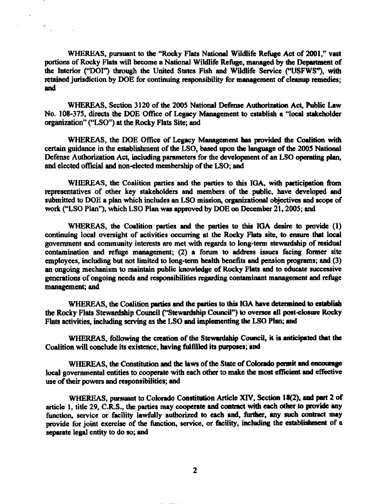WHEREAS, pursuant to the "Rocky Flats National Wildlife Refuge Act of 2001," vast portions of Rocky Flats will become a National Wildlife Refuge, managed by the Department of the Interior ("DOI") through the United States Fish and Wildlife Service ("USFWS"), with retained jurisdiction by DOE for continuing responsibility for management of cleanup remedies; and

WHEREAS, Section 3120 of the 2005 National Defense Authorization Act, Public Law No. 108-375, directs the DOE Office of Legacy Management to establish a "local stakeholder organization" ("LSO") at the Rocky Flats Site; and

WHEREAS, the DOE Office of Legacy Management has provided the Coalition with certain guidance in the establishment of the LSO, based upon the language of the 2005 National Defense Authorization Act, including parameters for the development of an LSO operating plan, and elected official and non-elected membership of the LSO; and

WHEREAS, the Coalition parties and the parties to this IGA, with participation from representatives of other key stakeholders and members of the public, have developed and submitted to DOE a plan which includes an LSO mission, organizational objectives and scope of work ("LSO Plan"), which LSO Plan was approved by DOE on December 21, 2005; and

WHEREAS, the Coalition parties and the parties to this IGA desire to provide (1) continuing local oversight of activities occurring at the Rocky Flats site, to ensure that local government and community interests are met with regards to long-term stewardship of residual contamination and refuge management; (2) a forum to address issues facing former site employees, including but not limited to long-term health benefits and pension programs; and (3) an ongoing mechanism to maintain public knowledge of Rocky Flats and to educate successive generations of ongoing needs and responsibilities regarding contaminant management and refuge management; and

WHEREAS, the Coalition parties and the parties to this IGA have determined to establish the Rocky Flats Stewardship Council ("Stewardship Council") to oversee all post-closure Rocky Flats activities, including serving as the LSO and implementing the LSO Plan; and

WHEREAS, following the creation of the Stewardship Council, it is anticipated that the Coalition will conclude its existence, having fulfilled its purposes; and

WHEREAS, the Constitution and the laws of the State of Colorado permit and encourage local governmental entities to cooperate with each other to make the most efficient and effective use of their powers and responsibilities; and

WHEREAS, pursuant to Colorado Constitution Article XIV, Section 18(2), and part 2 of article 1, title 29, C.R.S., the parties may cooperate and contract with each other to provide any function, service or facility lawfully authorized to each and, further, any such contract may provide for joint exercise of the function, service, or facility, including the establishment of a separate legal entity to do so; and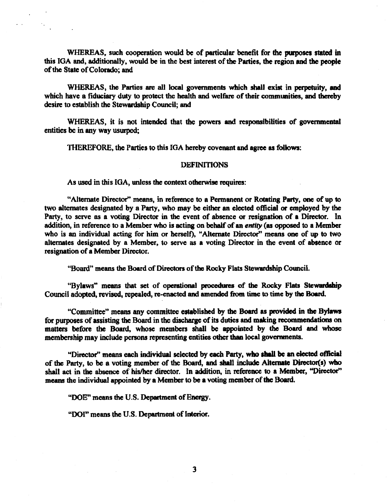WHEREAS, such cooperation would be of particular benefit for the purposes stated in this IGA and, additionally, would be in the best interest of the Parties, the region and the people of the State of Colorado; and

WHEREAS, the Parties are all local governments which shall exist in perpetuity, and which have a fiduciary duty to protect the health and welfare of their communities, and thereby desire to establish the Stewardship Council; and

WHEREAS, it is not intended that the powers and responsibilities of governmental entities be in any way usurped;

THEREFORE, the Parties to this IGA hereby covenant and agree as follows:

#### **DEFINITIONS**

As used in this IGA, unless the context otherwise requires:

"Alternate Director" means, in reference to a Permanent or Rotating Party, one of up to two alternates designated by a Party, who may be either an elected official or employed by the Party, to serve as a voting Director in the event of absence or resignation of a Director. In addition, in reference to a Member who is acting on behalf of an entity (as opposed to a Member who is an individual acting for him or herself), "Alternate Director" means one of up to two alternates designated by a Member, to serve as a voting Director in the event of absence or resignation of a Member Director.

"Board" means the Board of Directors of the Rocky Flats Stewardship Council.

"Bylaws" means that set of operational procedures of the Rocky Flats Stewardship Council adopted, revised, repealed, re-enacted and amended from time to time by the Board.

"Committee" means any committee established by the Board as provided in the Bylaws for purposes of assisting the Board in the discharge of its duties and making recommendations on matters before the Board, whose members shall be appointed by the Board and whose membership may include persons representing entities other than local governments.

"Director" means each individual selected by each Party, who shall be an elected official of the Party, to be a voting member of the Board, and shall include Alternate Director(s) who shall act in the absence of his/her director. In addition, in reference to a Member, "Director" means the individual appointed by a Member to be a voting member of the Board.

"DOE" means the U.S. Department of Energy.

"DOI" means the U.S. Department of Interior.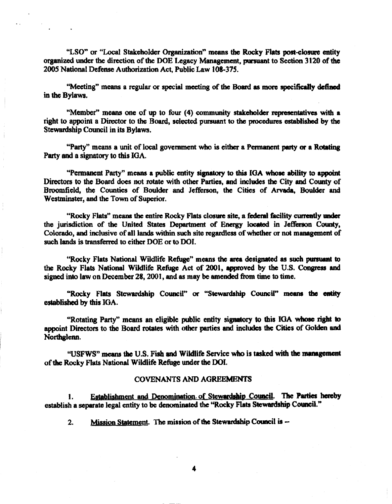"LSO" or "Local Stakeholder Organization" means the Rocky Flats post-closure entity organized under the direction of the DOE Legacy Management, pursuant to Section 3120 of the 2005 National Defense Authorization Act, Public Law 108-375.

"Meeting" means a regular or special meeting of the Board as more specifically defined in the Bylaws.

"Member" means one of up to four (4) community stakeholder representatives with a right to appoint a Director to the Board, selected pursuant to the procedures established by the Stewardship Council in its Bylaws.

"Party" means a unit of local government who is either a Permanent party or a Rotating Party and a signatory to this IGA.

"Permanent Party" means a public entity signatory to this IGA whose ability to appoint Directors to the Board does not rotate with other Parties, and includes the City and County of Broomfield, the Counties of Boulder and Jefferson, the Cities of Arvada, Boulder and Westminster, and the Town of Superior.

"Rocky Flats" means the entire Rocky Flats closure site, a federal facility currently under the jurisdiction of the United States Department of Energy located in Jefferson County, Colorado, and inclusive of all lands within such site regardless of whether or not management of such lands is transferred to either DOE or to DOI.

"Rocky Flats National Wildlife Refuge" means the area designated as such pursuant to the Rocky Flats National Wildlife Refuge Act of 2001, approved by the U.S. Congress and signed into law on December 28, 2001, and as may be amended from time to time.

"Rocky Flats Stewardship Council" or "Stewardship Council" means the entity established by this IGA.

"Rotating Party" means an eligible public entity signatory to this IGA whose right to appoint Directors to the Board rotates with other parties and includes the Cities of Golden and Northglenn.

"USFWS" means the U.S. Fish and Wildlife Service who is tasked with the management of the Rocky Flats National Wildlife Refuge under the DOI.

#### **COVENANTS AND AGREEMENTS**

Establishment and Denomination of Stewardship Council. The Parties hereby 1. establish a separate legal entity to be denominated the "Rocky Flats Stewardship Council."

Mission Statement. The mission of the Stewardship Council is -- $2.$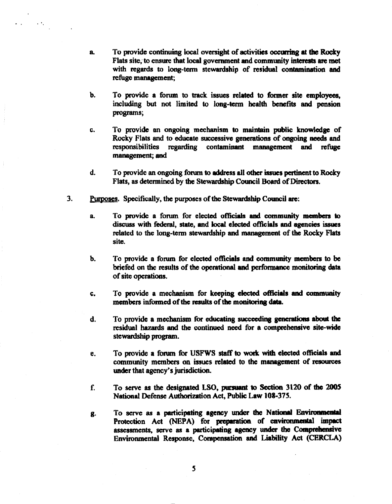- To provide continuing local oversight of activities occurring at the Rocky a. Flats site, to ensure that local government and community interests are met with regards to long-term stewardship of residual contamination and refuge management:
- b. To provide a forum to track issues related to former site employees, including but not limited to long-term health benefits and pension programs;
- To provide an ongoing mechanism to maintain public knowledge of c. Rocky Flats and to educate successive generations of ongoing needs and responsibilities regarding contaminant management and refuge management; and
- $\mathbf{d}$ . To provide an ongoing forum to address all other issues pertinent to Rocky Flats, as determined by the Stewardship Council Board of Directors.
- $3.$ Purposes. Specifically, the purposes of the Stewardship Council are:
	- To provide a forum for elected officials and community members to a. discuss with federal, state, and local elected officials and agencies issues related to the long-term stewardship and management of the Rocky Flats site.
	- ხ. To provide a forum for elected officials and community members to be briefed on the results of the operational and performance monitoring data of site operations.
	- To provide a mechanism for keeping elected officials and community c. members informed of the results of the monitoring data.
	- To provide a mechanism for educating succeeding generations about the d. residual hazards and the continued need for a comprehensive site-wide stewardship program.
	- To provide a forum for USFWS staff to work with elected officials and e. community members on issues related to the management of resources under that agency's jurisdiction.
	- To serve as the designated LSO, pursuant to Section 3120 of the 2005 f. National Defense Authorization Act, Public Law 108-375.
	- To serve as a participating agency under the National Environmental g. Protection Act (NEPA) for preparation of environmental impact assessments, serve as a participating agency under the Comprehensive Environmental Response, Compensation and Liability Act (CERCLA)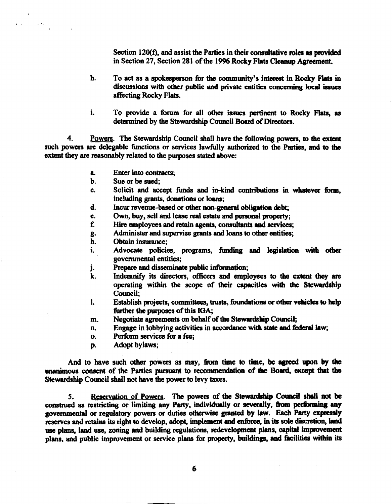Section 120(f), and assist the Parties in their consultative roles as provided in Section 27, Section 281 of the 1996 Rocky Flats Cleanup Agreement.

- h. To act as a spokesperson for the community's interest in Rocky Flats in discussions with other public and private entities concerning local issues affecting Rocky Flats.
- i. To provide a forum for all other issues pertinent to Rocky Flats, as determined by the Stewardship Council Board of Directors.

4. Powers. The Stewardship Council shall have the following powers, to the extent such powers are delegable functions or services lawfully authorized to the Parties, and to the extent they are reasonably related to the purposes stated above:

- Enter into contracts: a.
- Sue or be sued: b.
- Solicit and accept funds and in-kind contributions in whatever form, c. including grants, donations or loans;
- Incur revenue-based or other non-general obligation debt; đ.
- Own, buy, sell and lease real estate and personal property; e.
- f. Hire employees and retain agents, consultants and services;
- Administer and supervise grants and loans to other entities; g.
- h. Obtain insurance:
- Advocate policies, programs, funding and legislation with other i. governmental entities;
- Prepare and disseminate public information; j.
- k. Indemnify its directors, officers and employees to the extent they are operating within the scope of their capacities with the Stewardship Council:
- $\mathbf{l}$ . Establish projects, committees, trusts, foundations or other vehicles to help further the purposes of this IGA;
- Negotiate agreements on behalf of the Stewardship Council; m.
- Engage in lobbying activities in accordance with state and federal law; n.
- Perform services for a fee: O.
- Adopt bylaws: D.

And to have such other powers as may, from time to time, be agreed upon by the unanimous consent of the Parties pursuant to recommendation of the Board, except that the Stewardship Council shall not have the power to levy taxes.

Reservation of Powers. The powers of the Stewardship Council shall not be  $5.$ construed as restricting or limiting any Party, individually or severally, from performing any governmental or regulatory powers or duties otherwise granted by law. Each Party expressly reserves and retains its right to develop, adopt, implement and enforce, in its sole discretion, land use plans, land use, zoning and building regulations, redevelopment plans, capital improvement plans, and public improvement or service plans for property, buildings, and facilities within its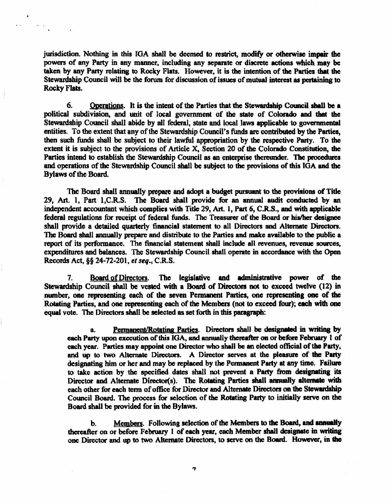jurisdiction. Nothing in this IGA shall be deemed to restrict, modify or otherwise impair the powers of any Party in any manner, including any separate or discrete actions which may be taken by any Party relating to Rocky Flats. However, it is the intention of the Parties that the Stewardship Council will be the forum for discussion of issues of mutual interest as pertaining to Rocky Flats.

Operations. It is the intent of the Parties that the Stewardship Council shall be a 6. political subdivision, and unit of local government of the state of Colorado and that the Stewardship Council shall abide by all federal, state and local laws applicable to governmental entities. To the extent that any of the Stewardship Council's funds are contributed by the Parties, then such funds shall be subject to their lawful appropriation by the respective Party. To the extent it is subject to the provisions of Article X, Section 20 of the Colorado Constitution, the Parties intend to establish the Stewardship Council as an enterprise thereunder. The procedures and operations of the Stewardship Council shall be subject to the provisions of this IGA and the Bylaws of the Board.

The Board shall annually prepare and adopt a budget pursuant to the provisions of Title 29, Art. 1, Part 1, C.R.S. The Board shall provide for an annual audit conducted by an independent accountant which complies with Title 29, Art. 1, Part 6, C.R.S., and with applicable federal regulations for receipt of federal funds. The Treasurer of the Board or his/her designee shall provide a detailed quarterly financial statement to all Directors and Alternate Directors. The Board shall annually prepare and distribute to the Parties and make available to the public a report of its performance. The financial statement shall include all revenues, revenue sources, expenditures and balances. The Stewardship Council shall operate in accordance with the Open Records Act, §§ 24-72-201, et seq., C.R.S.

Board of Directors. The legislative and administrative power of the 7. Stewardship Council shall be vested with a Board of Directors not to exceed twelve (12) in number, one representing each of the seven Permanent Parties, one representing one of the Rotating Parties, and one representing each of the Members (not to exceed four); each with one equal vote. The Directors shall be selected as set forth in this paragraph:

Permanent/Rotating Parties. Directors shall be designated in writing by a. each Party upon execution of this IGA, and annually thereafter on or before February 1 of each year. Parties may appoint one Director who shall be an elected official of the Party, and up to two Alternate Directors. A Director serves at the pleasure of the Party designating him or her and may be replaced by the Permanent Party at any time. Failure to take action by the specified dates shall not prevent a Party from designating its Director and Alternate Director(s). The Rotating Parties shall annually alternate with each other for each term of office for Director and Alternate Directors on the Stewardship Council Board. The process for selection of the Rotating Party to initially serve on the Board shall be provided for in the Bylaws.

Members. Following selection of the Members to the Board, and annually  $\mathbf b$ . thereafter on or before February 1 of each year, each Member shall designate in writing one Director and up to two Alternate Directors, to serve on the Board. However, in the

 $\overline{\mathbf{z}}$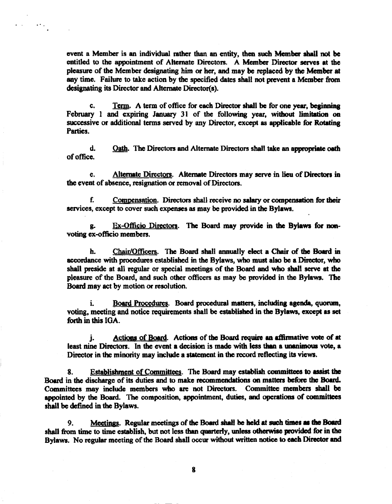event a Member is an individual rather than an entity, then such Member shall not be entitled to the appointment of Alternate Directors. A Member Director serves at the pleasure of the Member designating him or her, and may be replaced by the Member at any time. Failure to take action by the specified dates shall not prevent a Member from designating its Director and Alternate Director(s).

Term. A term of office for each Director shall be for one year, beginning C. February 1 and expiring January 31 of the following year, without limitation on successive or additional terms served by any Director, except as applicable for Rotating Parties.

 $\mathbf{d}_{\cdot}$ Oath. The Directors and Alternate Directors shall take an appropriate oath of office.

Alternate Directors. Alternate Directors may serve in lieu of Directors in  $\mathbf{e}$ . the event of absence, resignation or removal of Directors.

Compensation. Directors shall receive no salary or compensation for their f. services, except to cover such expenses as may be provided in the Bylaws.

Ex-Officio Directors. The Board may provide in the Bylaws for nong. voting ex-officio members.

h. Chair/Officers. The Board shall annually elect a Chair of the Board in accordance with procedures established in the Bylaws, who must also be a Director, who shall preside at all regular or special meetings of the Board and who shall serve at the pleasure of the Board, and such other officers as may be provided in the Bylaws. The Board may act by motion or resolution.

i. Board Procedures. Board procedural matters, including agenda, quorum, voting, meeting and notice requirements shall be established in the Bylaws, except as set forth in this IGA.

Actions of Board. Actions of the Board require an affirmative vote of at i. least nine Directors. In the event a decision is made with less than a unanimous vote, a Director in the minority may include a statement in the record reflecting its views.

Establishment of Committees. The Board may establish committees to assist the 8. Board in the discharge of its duties and to make recommendations on matters before the Board. Committees may include members who are not Directors. Committee members shall be appointed by the Board. The composition, appointment, duties, and operations of committees shall be defined in the Bylaws.

Meetings. Regular meetings of the Board shall be held at such times as the Board 9. shall from time to time establish, but not less than quarterly, unless otherwise provided for in the Bylaws. No regular meeting of the Board shall occur without written notice to each Director and

8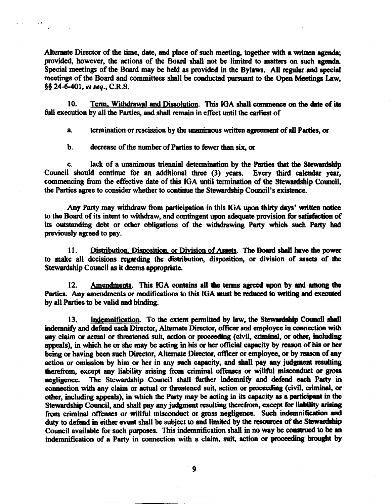Alternate Director of the time, date, and place of such meeting, together with a written agenda; provided, however, the actions of the Board shall not be limited to matters on such agenda. Special meetings of the Board may be held as provided in the Bylaws. All regular and special meetings of the Board and committees shall be conducted pursuant to the Open Meetings Law, §§ 24-6-401, et seq., C.R.S.

Term, Withdrawal and Dissolution. This IGA shall commence on the date of its 10. full execution by all the Parties, and shall remain in effect until the earliest of

termination or rescission by the unanimous written agreement of all Parties, or a.

decrease of the number of Parties to fewer than six, or b.

 $\mathbf{L}$ 

lack of a unanimous triennial determination by the Parties that the Stewardship C. Council should continue for an additional three (3) years. Every third calendar year, commencing from the effective date of this IGA until termination of the Stewardship Council, the Parties agree to consider whether to continue the Stewardship Council's existence.

Any Party may withdraw from participation in this IGA upon thirty days' written notice to the Board of its intent to withdraw, and contingent upon adequate provision for satisfaction of its outstanding debt or other obligations of the withdrawing Party which such Party had previously agreed to pay.

Distribution, Disposition, or Division of Assets. The Board shall have the power 11. to make all decisions regarding the distribution, disposition, or division of assets of the Stewardship Council as it deems appropriate.

Amendments. This IGA contains all the terms agreed upon by and among the  $12.$ Parties. Any amendments or modifications to this IGA must be reduced to writing and executed by all Parties to be valid and binding.

Indemnification. To the extent permitted by law, the Stewardship Council shall 13. indemnify and defend each Director, Alternate Director, officer and employee in connection with any claim or actual or threatened suit, action or proceeding (civil, criminal, or other, including appeals), in which he or she may be acting in his or her official capacity by reason of his or her being or having been such Director, Alternate Director, officer or employee, or by reason of any action or omission by him or her in any such capacity, and shall pay any judgment resulting therefrom, except any liability arising from criminal offenses or willful misconduct or gross The Stewardship Council shall further indemnify and defend each Party in negligence. connection with any claim or actual or threatened suit, action or proceeding (civil, criminal, or other, including appeals), in which the Party may be acting in its capacity as a participant in the Stewardship Council, and shall pay any judgment resulting therefrom, except for liability arising from criminal offenses or willful misconduct or gross negligence. Such indemnification and duty to defend in either event shall be subject to and limited by the resources of the Stewardship Council available for such purposes. This indemnification shall in no way be construed to be an indemnification of a Party in connection with a claim, suit, action or proceeding brought by

9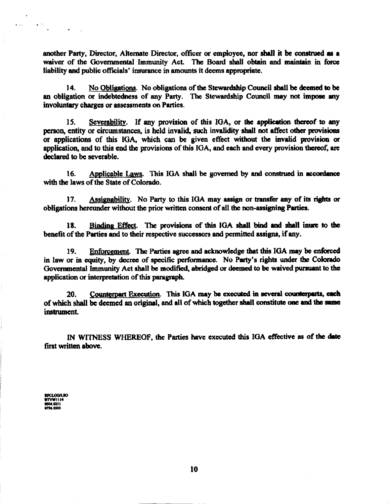another Party, Director, Alternate Director, officer or employee, nor shall it be construed as a waiver of the Governmental Immunity Act. The Board shall obtain and maintain in force liability and public officials' insurance in amounts it deems appropriate.

No Obligations. No obligations of the Stewardship Council shall be deemed to be 14. an obligation or indebtedness of any Party. The Stewardship Council may not impose any involuntary charges or assessments on Parties.

15. Severability. If any provision of this IGA, or the application thereof to any person, entity or circumstances, is held invalid, such invalidity shall not affect other provisions or applications of this IGA, which can be given effect without the invalid provision or application, and to this end the provisions of this IGA, and each and every provision thereof, are declared to be severable.

Applicable Laws. This IGA shall be governed by and construed in accordance 16. with the laws of the State of Colorado.

Assignability. No Party to this IGA may assign or transfer any of its rights or 17. obligations hereunder without the prior written consent of all the non-assigning Parties.

Binding Effect. The provisions of this IGA shall bind and shall inure to the 18. benefit of the Parties and to their respective successors and permitted assigns, if any.

Enforcement. The Parties agree and acknowledge that this IGA may be enforced 19. in law or in equity, by decree of specific performance. No Party's rights under the Colorado Governmental Immunity Act shall be modified, abridged or deemed to be waived pursuant to the application or interpretation of this paragraph.

Counterpart Execution. This IGA may be executed in several counterparts, each 20. of which shall be deemed an original, and all of which together shall constitute one and the same instrument.

IN WITNESS WHEREOF, the Parties have executed this IGA effective as of the date first written above.

**RFCLOGASO RTVWII14** 0504,0211

 $\ddot{\phantom{a}}$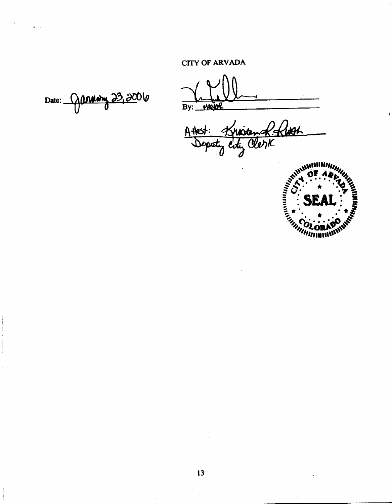**CITY OF ARVADA** 

Date: 9annew 23,200

By: MAYOR

+ Known Robert A Hest:



 $13$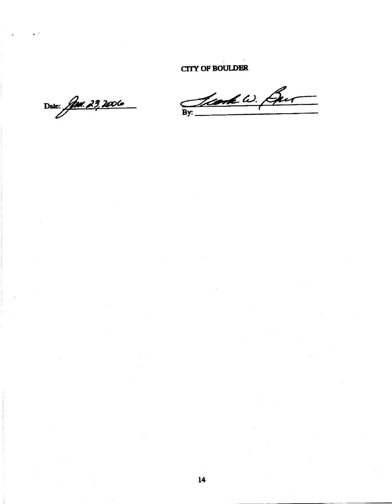**CITY OF BOULDER** 

Date: *Jun. 29, 2006* 

By: Lead W. Gur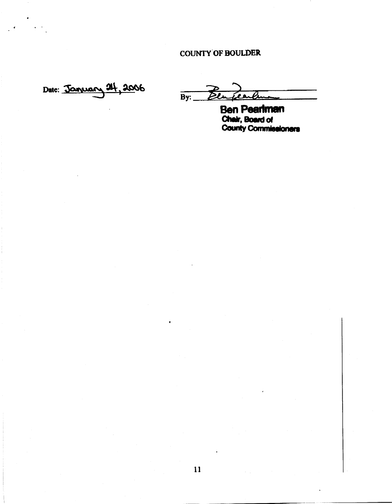# **COUNTY OF BOULDER**

Date: January 24, 2006

 $\overline{By:}$  $\overline{\mathcal{D}}$ l مع

**Ben Pearlman<br>Chair, Board of<br>County Commissioners**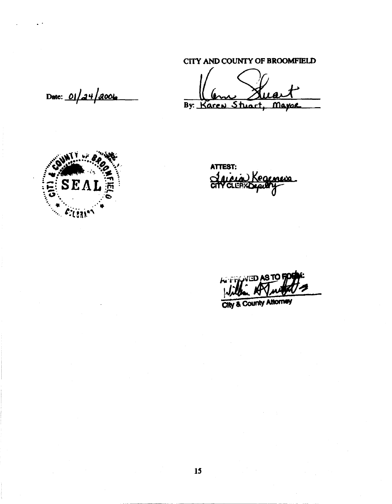# CITY AND COUNTY OF BROOMFIELD

By: Karen Stuart, Mayor

Date: 01/24/2006



ATTEST: <u> Jaicia Kegemen</u>

**NED AS TO!**  $+1 - 1 - 1$ 

**City & County Attorney**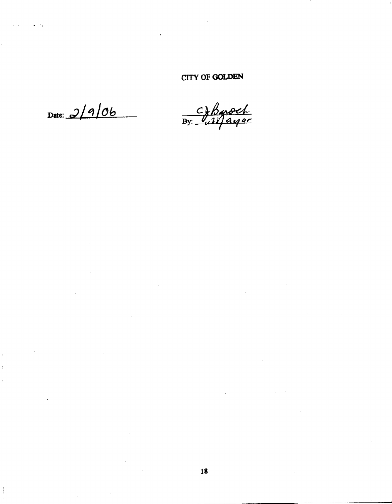# CITY OF GOLDEN

Date:  $2/9/06$ 

 $\frac{C\sqrt{b} \mod b}{\frac{1}{100}}$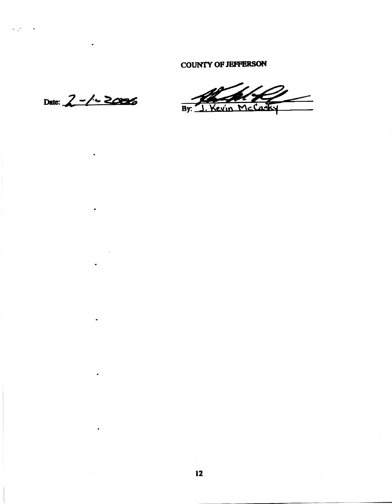**COUNTY OF JEFFERSON** 

Date:  $2 - 1 - 2006$ 

 $\frac{2}{\sqrt{2}}$  $\overline{\text{vin} \text{McC}}$  $\overline{By:}$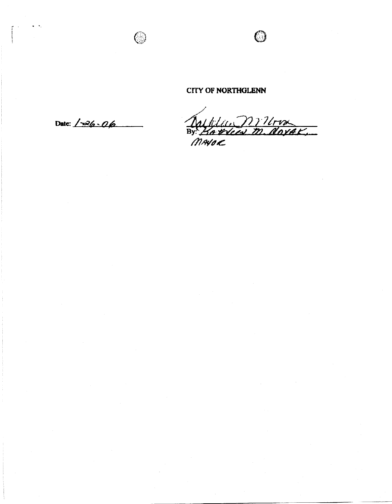# **CITY OF NORTHGLENN**

Date:  $\sqrt{-26}$  06

 $\bullet$  .  $\bullet$  .

Dafflu, Milon<br>By: Hardcen m. dorak,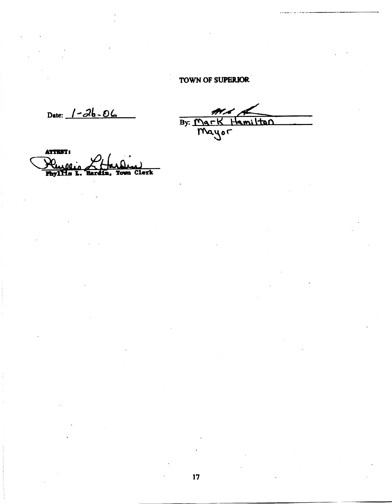# TOWN OF SUPERIOR

Date:  $1 - 26 - 06$ 

By: Mark Hamilton

ATTEST: Phyllis Clerk **Town**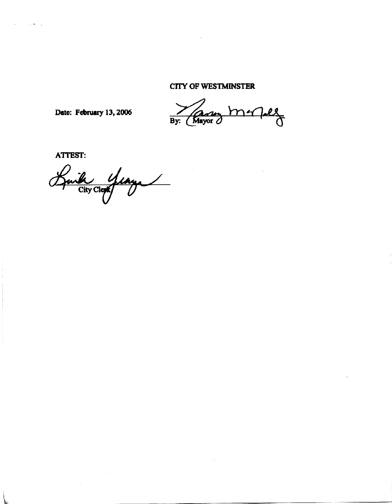# **CITY OF WESTMINSTER**

Date: February 13, 2006

 $rac{1}{\sqrt{2}}$  $\mathbf{r}$  $\overline{By:}$ Mayor

ATTEST:

Baile years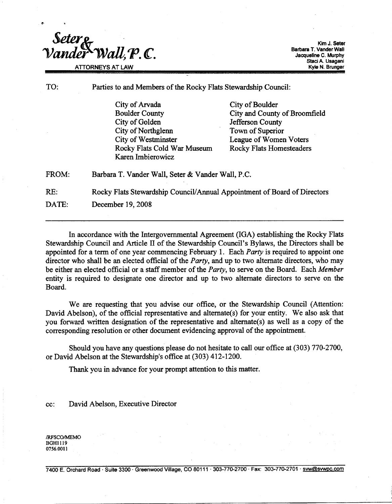Seter<sub>8</sub>  $Wall.P.C.$ **ATTORNEYS AT LAW** 

Kim J. Seter Barbara T. Vander Wall Jacqueline C. Murphy Staci A. Usagani Kyle N. Brunger

TO:

Parties to and Members of the Rocky Flats Stewardship Council:

City of Arvada **Boulder County** City of Golden City of Northglenn City of Westminster Rocky Flats Cold War Museum Karen Imbierowicz

City of Boulder City and County of Broomfield Jefferson County Town of Superior League of Women Voters **Rocky Flats Homesteaders** 

FROM: Barbara T. Vander Wall, Seter & Vander Wall, P.C.

RE: Rocky Flats Stewardship Council/Annual Appointment of Board of Directors

DATE: December 19, 2008

In accordance with the Intergovernmental Agreement (IGA) establishing the Rocky Flats Stewardship Council and Article II of the Stewardship Council's Bylaws, the Directors shall be appointed for a term of one year commencing February 1. Each *Party* is required to appoint one director who shall be an elected official of the *Party*, and up to two alternate directors, who may be either an elected official or a staff member of the Party, to serve on the Board. Each Member entity is required to designate one director and up to two alternate directors to serve on the Board.

We are requesting that you advise our office, or the Stewardship Council (Attention: David Abelson), of the official representative and alternate(s) for your entity. We also ask that you forward written designation of the representative and alternate(s) as well as a copy of the corresponding resolution or other document evidencing approval of the appointment.

Should you have any questions please do not hesitate to call our office at (303) 770-2700, or David Abelson at the Stewardship's office at (303) 412-1200.

Thank you in advance for your prompt attention to this matter.

David Abelson, Executive Director cc:

/RFSCO/MEMO **BGH1119** 0756.0011

7400 E. Orchard Road · Suite 3300 · Greenwood Village, CO 80111 · 303-770-2700 · Fax: 303-770-2701 · svw@svwpc.com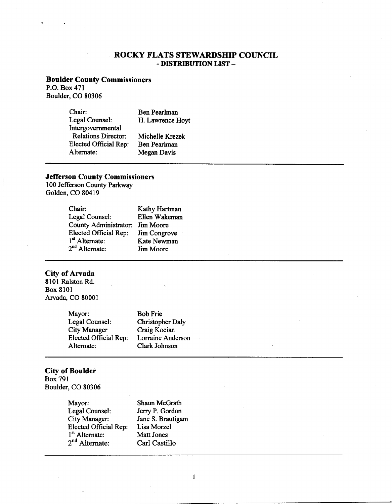### ROCKY FLATS STEWARDSHIP COUNCIL - DISTRIBUTION LIST -

#### **Boulder County Commissioners**

P.O. Box 471 Boulder, CO 80306

| Chair:                     | <b>Ben Pearlman</b> |
|----------------------------|---------------------|
| Legal Counsel:             | H. Lawrence Hoyt    |
| Intergovernmental          |                     |
| <b>Relations Director:</b> | Michelle Krezek     |
| Elected Official Rep:      | Ben Pearlman        |
| Alternate:                 | <b>Megan Davis</b>  |

## **Jefferson County Commissioners**

100 Jefferson County Parkway Golden, CO 80419

| <b>Kathy Hartman</b> |
|----------------------|
| Ellen Wakeman        |
| Jim Moore            |
| Jim Congrove         |
| Kate Newman          |
| Jim Moore            |
|                      |

#### **City of Arvada**

8101 Ralston Rd. Box 8101 Arvada, CO 80001

| Mayor:                | <b>Bob Frie</b>          |
|-----------------------|--------------------------|
| Legal Counsel:        | <b>Christopher Daly</b>  |
| <b>City Manager</b>   | Craig Kocian             |
| Elected Official Rep: | <b>Lorraine Anderson</b> |
| Alternate:            | Clark Johnson            |

# **City of Boulder**

**Box 791** Boulder, CO 80306

> Mayor: Shaun McGrath Legal Counsel: City Manager: Elected Official Rep:<br>
> 1<sup>st</sup> Alternate:<br>
> 2<sup>nd</sup> Alternate:

Jerry P. Gordon Jane S. Brautigam Lisa Morzel Matt Jones Carl Castillo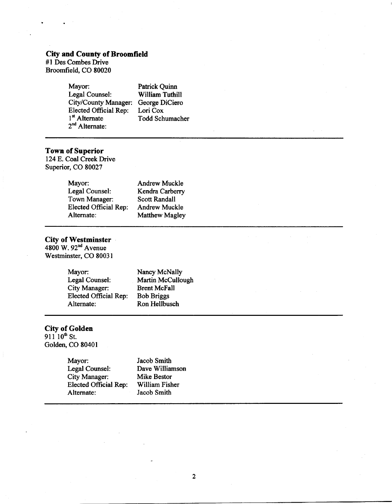# City and County of Broomfield<br>#1 Des Combes Drive

Broomfield, CO 80020

| Mayor:                       | <b>Patrick Quinn</b>   |
|------------------------------|------------------------|
| Legal Counsel:               | <b>William Tuthill</b> |
| City/County Manager:         | George DiCiero         |
| <b>Elected Official Rep:</b> | Lori Cox               |
| 1 <sup>st</sup> Alternate    | Todd Schumacher        |
| $2nd$ Alternate:             |                        |

Town of Superior<br>124 E. Coal Creek Drive Superior, CO 80027

| Mayor:                       | <b>Andrew Muckle</b>  |
|------------------------------|-----------------------|
| Legal Counsel:               | Kendra Carberry       |
| Town Manager:                | Scott Randall         |
| <b>Elected Official Rep:</b> | <b>Andrew Muckle</b>  |
| Alternate:                   | <b>Matthew Magley</b> |

City of Westminster<br>4800 W.  $92<sup>nd</sup>$  Avenue Westminster, CO 80031

| Mayor:                | Nancy McNally       |
|-----------------------|---------------------|
| Legal Counsel:        | Martin McCullough   |
| City Manager:         | <b>Brent McFall</b> |
| Elected Official Rep: | <b>Bob Briggs</b>   |
| Alternate:            | Ron Hellbusch       |

City of Golden<br>911  $10^{\text{th}}$  St.<br>Golden, CO 80401

| Mayor:                | Jacob Smith     |
|-----------------------|-----------------|
| Legal Counsel:        | Dave Williamson |
| City Manager:         | Mike Bestor     |
| Elected Official Rep: | William Fisher  |
| Alternate:            | Jacob Smith     |
|                       |                 |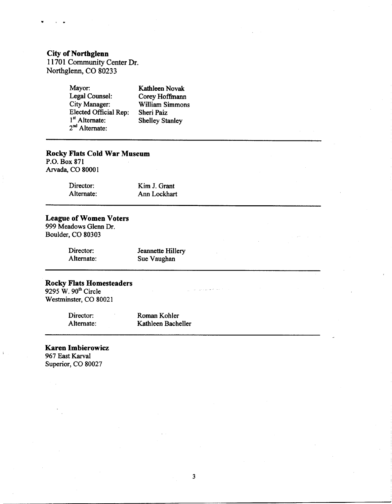# **City of Northglenn**

11701 Community Center Dr. Northglenn, CO 80233

| Mayor:                | Kathleen Novak         |
|-----------------------|------------------------|
| Legal Counsel:        | Corey Hoffmann         |
| <b>City Manager:</b>  | William Simmons        |
| Elected Official Rep: | Sheri Paiz             |
| $1st$ Alternate:      | <b>Shelley Stanley</b> |
| $2nd$ Alternate:      |                        |

# **Rocky Flats Cold War Museum**

P.O. Box 871 Arvada, CO 80001

| Director:  | Kim J. Grant |
|------------|--------------|
| Alternate: | Ann Lockhart |

# **League of Women Voters**

999 Meadows Glenn Dr. Boulder, CO 80303

| Director:  |
|------------|
| Alternate: |

Jeannette Hillery Sue Vaughan

د.<br>د د ارام و د بي د دي از اين

# Rocky Flats Homesteaders<br>9295 W. 90<sup>th</sup> Circle

Westminster, CO 80021

Director: Roman Kohler Kathleen Bacheller Alternate:

**Karen Imbierowicz** 967 East Karval Superior, CO 80027

 $\bar{z}$